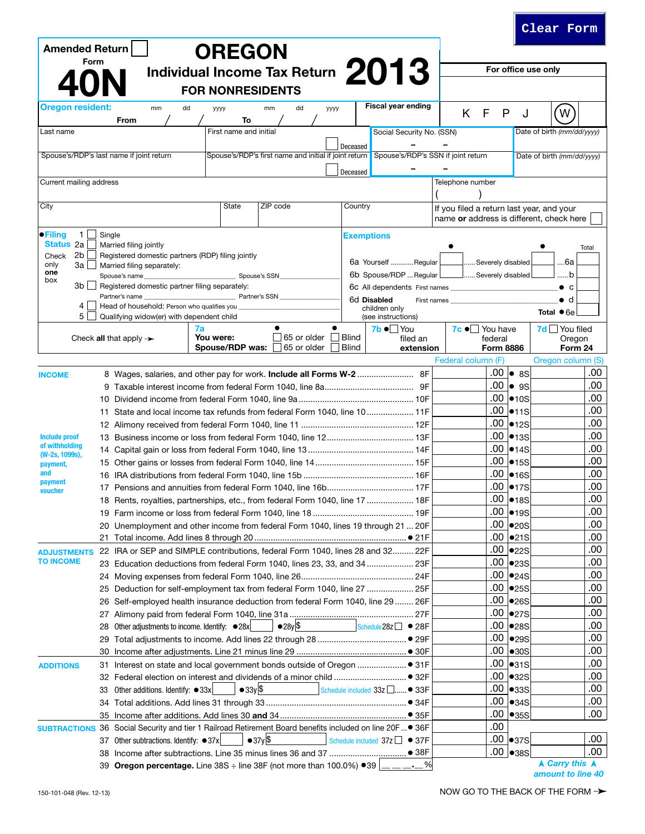| <b>Amended Return</b>                  |                                                                                   | <b>OREGON</b>           |                                                                                           |                                           |                                          |                                              |                           |                            |
|----------------------------------------|-----------------------------------------------------------------------------------|-------------------------|-------------------------------------------------------------------------------------------|-------------------------------------------|------------------------------------------|----------------------------------------------|---------------------------|----------------------------|
| Form                                   |                                                                                   |                         | Individual Income Tax Return 2013                                                         |                                           |                                          |                                              |                           | For office use only        |
|                                        |                                                                                   |                         |                                                                                           |                                           |                                          |                                              |                           |                            |
|                                        |                                                                                   | <b>FOR NONRESIDENTS</b> |                                                                                           |                                           |                                          |                                              |                           |                            |
| <b>Oregon resident:</b>                | mm<br>dd                                                                          | уууу                    | mm<br>dd                                                                                  | уууу                                      | <b>Fiscal year ending</b>                | F<br>K.                                      | P<br>J                    | W                          |
|                                        | From                                                                              | To                      |                                                                                           |                                           |                                          |                                              |                           |                            |
| Last name                              |                                                                                   | First name and initial  |                                                                                           |                                           | Social Security No. (SSN)                |                                              |                           | Date of birth (mm/dd/yyyy) |
|                                        | Spouse's/RDP's last name if joint return                                          |                         | Spouse's/RDP's first name and initial if joint return Spouse's/RDP's SSN if joint return  | Deceased                                  |                                          |                                              |                           | Date of birth (mm/dd/yyyy) |
|                                        |                                                                                   |                         |                                                                                           |                                           |                                          |                                              |                           |                            |
| Current mailing address                |                                                                                   |                         |                                                                                           | Deceased                                  |                                          | Telephone number                             |                           |                            |
|                                        |                                                                                   |                         |                                                                                           |                                           |                                          |                                              |                           |                            |
| City                                   |                                                                                   | State                   | Country                                                                                   | If you filed a return last year, and your |                                          |                                              |                           |                            |
|                                        |                                                                                   |                         |                                                                                           |                                           |                                          | name or address is different, check here     |                           |                            |
| $\bullet$ Filing<br>$\mathbf{1}$       | Single                                                                            |                         |                                                                                           | <b>Exemptions</b>                         |                                          |                                              |                           |                            |
| <b>Status 2a</b>                       | Married filing jointly                                                            |                         |                                                                                           |                                           |                                          |                                              |                           | Total                      |
| 2b<br>Check                            | Registered domestic partners (RDP) filing jointly                                 |                         |                                                                                           |                                           | 6a Yourself  Regular                     | Severely disabled                            |                           | 6а                         |
| only<br>3a l<br>one                    | Married filing separately:<br>Spouse's name                                       |                         | Spouse's SSN                                                                              |                                           | 6b Spouse/RDP  Regular                   | <u>J</u> Severely disabled <u>l</u>          |                           | b                          |
| box<br>3b I                            | Registered domestic partner filing separately:                                    |                         |                                                                                           |                                           | 6c All dependents First names            | the control of the control of the control of |                           | $\bullet$ c                |
|                                        | Partner's name                                                                    |                         | Partner's SSN                                                                             |                                           | 6d Disabled<br>First names               |                                              |                           | $\bullet$ d                |
| 4                                      | Head of household: Person who qualifies you                                       |                         |                                                                                           |                                           | children only                            |                                              |                           | Total $\bullet$ 6e         |
| 5 <sup>1</sup>                         | Qualifying widow(er) with dependent child                                         | 7a                      | $\bullet$                                                                                 | $\bullet$                                 | (see instructions)<br>$7b \bullet$   You | $7c \bullet$ You have                        |                           | $7d$ $\Box$ You filed      |
|                                        | Check all that apply $\rightarrow$                                                | You were:               | 65 or older                                                                               | Blind                                     | filed an                                 | federal                                      |                           | Oregon                     |
|                                        |                                                                                   | Spouse/RDP was:         | 65 or older                                                                               | Blind                                     | extension                                | <b>Form 8886</b>                             |                           | Form 24                    |
|                                        |                                                                                   |                         |                                                                                           |                                           |                                          | Federal column (F)                           |                           | Oregon column (S)          |
| <b>INCOME</b>                          | 8 Wages, salaries, and other pay for work. Include all Forms W-2  8F              |                         |                                                                                           |                                           |                                          | .00                                          | $\bullet$ 8S              | .00                        |
|                                        |                                                                                   |                         |                                                                                           |                                           |                                          | .00                                          | $\bullet$ 9S              | .00                        |
|                                        |                                                                                   |                         |                                                                                           |                                           |                                          | .00                                          | $\bullet$ 10S             | .00                        |
|                                        | 11 State and local income tax refunds from federal Form 1040, line 10 11F         |                         |                                                                                           |                                           |                                          | .00                                          | •11S                      | .00                        |
|                                        |                                                                                   |                         |                                                                                           |                                           | .00                                      | •12S                                         | .00<br>.00                |                            |
| <b>Include proof</b><br>of withholding |                                                                                   |                         |                                                                                           |                                           | .00<br>.00                               | •13S                                         | .00                       |                            |
| (W-2s, 1099s),                         |                                                                                   |                         |                                                                                           |                                           | .00                                      | •14S<br>•15S                                 | .00                       |                            |
| payment,<br>and                        |                                                                                   |                         |                                                                                           |                                           |                                          | .00                                          | •16S                      | .00                        |
| payment                                |                                                                                   |                         |                                                                                           |                                           |                                          | .00                                          | •17S                      | .00                        |
| voucher                                | 18 Rents, royalties, partnerships, etc., from federal Form 1040, line 17  18F     |                         |                                                                                           |                                           |                                          | .00                                          | •18S                      | .00                        |
|                                        |                                                                                   |                         |                                                                                           |                                           |                                          |                                              | $.00$ $ •19S$             | .00                        |
|                                        | 20 Unemployment and other income from federal Form 1040, lines 19 through 21  20F |                         |                                                                                           |                                           |                                          | .00.                                         | $\bullet$ <sub>20</sub> S | .00                        |
|                                        | 21.                                                                               |                         |                                                                                           |                                           |                                          | .00                                          | $\bullet$ 21S             | .00                        |
| <b>ADJUSTMENTS</b>                     | 22 IRA or SEP and SIMPLE contributions, federal Form 1040, lines 28 and 32 22F    |                         |                                                                                           |                                           |                                          | .00                                          | $\bullet$ 22S             | .00                        |
| <b>TO INCOME</b>                       | 23 Education deductions from federal Form 1040, lines 23, 33, and 34  23F         |                         |                                                                                           |                                           |                                          | .00                                          | $\bullet$ 23S             | .00                        |
|                                        | 24                                                                                |                         |                                                                                           |                                           |                                          | .00                                          | •24S                      | .00                        |
|                                        | 25                                                                                |                         | Deduction for self-employment tax from federal Form 1040, line 27  25F                    |                                           |                                          | .00                                          | $\bullet$ 25S             | .00                        |
|                                        | 26                                                                                |                         | Self-employed health insurance deduction from federal Form 1040, line 29  26F             |                                           |                                          | .00                                          | •26S                      | .00                        |
|                                        | 27                                                                                |                         |                                                                                           |                                           |                                          | .00                                          | •27S                      | .00                        |
|                                        | Other adjustments to income. Identify: ● 28x<br>28                                |                         | $\bullet$ 28y \$                                                                          |                                           | Schedule $28z \Box \bullet 28F$          | .00                                          | •28S                      | .00                        |
|                                        | 29                                                                                |                         |                                                                                           |                                           |                                          | .00                                          | $\bullet$ 29S             | .00                        |
|                                        | 30                                                                                |                         |                                                                                           |                                           |                                          | .00                                          | $\bullet$ 30S             | .00                        |
| <b>ADDITIONS</b>                       | 31                                                                                |                         |                                                                                           |                                           |                                          | .00                                          | $\bullet$ 31S             | .00                        |
|                                        |                                                                                   |                         |                                                                                           |                                           |                                          | .00<br>.00                                   | •32S                      | .00<br>.00                 |
|                                        | Other additions. Identify: $\bullet$ 33x<br>33                                    | $\bullet$ 33y \$        |                                                                                           |                                           | Schedule included 33z □● 33F             | .00                                          | $\bullet$ 33S<br>•34S     | .00                        |
|                                        | 34                                                                                |                         |                                                                                           |                                           |                                          | .00                                          | •35S                      | .00                        |
| <b>SUBTRACTIONS 36</b>                 |                                                                                   |                         | Social Security and tier 1 Railroad Retirement Board benefits included on line 20F  ● 36F |                                           |                                          | .00                                          |                           |                            |
|                                        | Other subtractions. Identify: ● 37x<br>37                                         |                         | $\bullet$ 37y \$                                                                          |                                           | Schedule included $37z \Box \bullet 37F$ |                                              | $.00$ $\bullet$ 37S       | .00                        |
|                                        |                                                                                   |                         |                                                                                           |                                           |                                          |                                              | $.00$ $ •38S $            | .00.                       |
|                                        | 39 Oregon percentage. Line 38S ÷ line 38F (not more than 100.0%) ●39              |                         |                                                                                           |                                           | ———- <sup>-</sup>                        |                                              |                           | <b>A Carry this A</b>      |

**Clear Form**

Ш